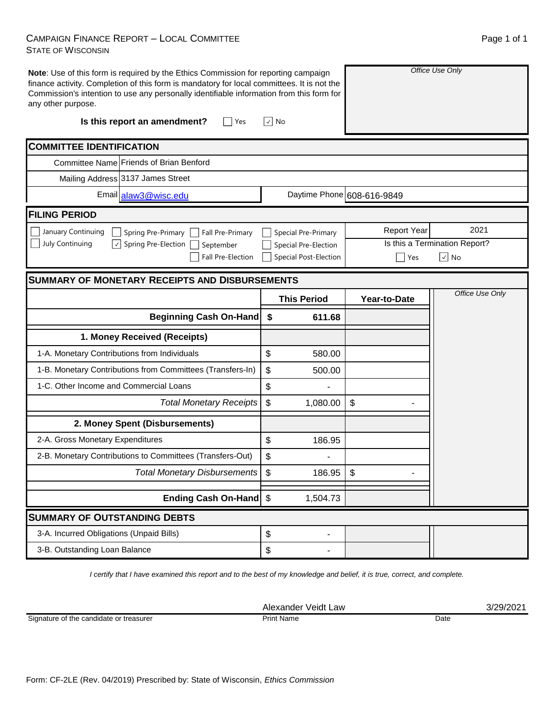## CAMPAIGN FINANCE REPORT – LOCAL COMMITTEE STATE OF WISCONSIN

| -<br>- |  |
|--------|--|
|        |  |
|        |  |
|        |  |
|        |  |
|        |  |

Page 1 of 1

| Note: Use of this form is required by the Ethics Commission for reporting campaign<br>finance activity. Completion of this form is mandatory for local committees. It is not the<br>Commission's intention to use any personally identifiable information from this form for<br>any other purpose. |                                     | Office Use Only            |                               |  |  |
|----------------------------------------------------------------------------------------------------------------------------------------------------------------------------------------------------------------------------------------------------------------------------------------------------|-------------------------------------|----------------------------|-------------------------------|--|--|
| Is this report an amendment?<br>Yes                                                                                                                                                                                                                                                                | √  No                               |                            |                               |  |  |
| <b>COMMITTEE IDENTIFICATION</b>                                                                                                                                                                                                                                                                    |                                     |                            |                               |  |  |
| Committee Name Friends of Brian Benford                                                                                                                                                                                                                                                            |                                     |                            |                               |  |  |
| Mailing Address 3137 James Street                                                                                                                                                                                                                                                                  |                                     |                            |                               |  |  |
| Email alaw3@wisc.edu                                                                                                                                                                                                                                                                               |                                     | Daytime Phone 608-616-9849 |                               |  |  |
| <b>FILING PERIOD</b>                                                                                                                                                                                                                                                                               |                                     |                            |                               |  |  |
| January Continuing<br>Spring Pre-Primary<br>Fall Pre-Primary                                                                                                                                                                                                                                       | Special Pre-Primary                 | <b>Report Year</b>         | 2021                          |  |  |
| July Continuing<br>$\overline{\mathcal{A}}$<br>Spring Pre-Election<br>September                                                                                                                                                                                                                    | Special Pre-Election                |                            | Is this a Termination Report? |  |  |
| <b>Fall Pre-Election</b>                                                                                                                                                                                                                                                                           | Special Post-Election               | Yes                        | $\left \sqrt{}\right $ No     |  |  |
| <b>SUMMARY OF MONETARY RECEIPTS AND DISBURSEMENTS</b>                                                                                                                                                                                                                                              |                                     |                            |                               |  |  |
|                                                                                                                                                                                                                                                                                                    | <b>This Period</b>                  | Year-to-Date               | Office Use Only               |  |  |
| Beginning Cash On-Hand   \$                                                                                                                                                                                                                                                                        | 611.68                              |                            |                               |  |  |
| 1. Money Received (Receipts)                                                                                                                                                                                                                                                                       |                                     |                            |                               |  |  |
|                                                                                                                                                                                                                                                                                                    |                                     |                            |                               |  |  |
| 1-A. Monetary Contributions from Individuals                                                                                                                                                                                                                                                       | \$<br>580.00                        |                            |                               |  |  |
| 1-B. Monetary Contributions from Committees (Transfers-In)                                                                                                                                                                                                                                         | \$<br>500.00                        |                            |                               |  |  |
| 1-C. Other Income and Commercial Loans                                                                                                                                                                                                                                                             | \$                                  |                            |                               |  |  |
| <b>Total Monetary Receipts</b>                                                                                                                                                                                                                                                                     | \$<br>1,080.00                      | \$                         |                               |  |  |
| 2. Money Spent (Disbursements)                                                                                                                                                                                                                                                                     |                                     |                            |                               |  |  |
| 2-A. Gross Monetary Expenditures                                                                                                                                                                                                                                                                   | \$<br>186.95                        |                            |                               |  |  |
| 2-B. Monetary Contributions to Committees (Transfers-Out)                                                                                                                                                                                                                                          | \$                                  |                            |                               |  |  |
| <b>Total Monetary Disbursements</b>                                                                                                                                                                                                                                                                | $\boldsymbol{\mathsf{S}}$<br>186.95 | \$                         |                               |  |  |
| Ending Cash On-Hand \$                                                                                                                                                                                                                                                                             | 1,504.73                            |                            |                               |  |  |
| <b>SUMMARY OF OUTSTANDING DEBTS</b>                                                                                                                                                                                                                                                                |                                     |                            |                               |  |  |
| 3-A. Incurred Obligations (Unpaid Bills)                                                                                                                                                                                                                                                           | \$                                  |                            |                               |  |  |

*I certify that I have examined this report and to the best of my knowledge and belief, it is true, correct, and complete.*

Signature of the candidate or treasurer

Alexander Veidt Law 3/29/2021 Print Name Date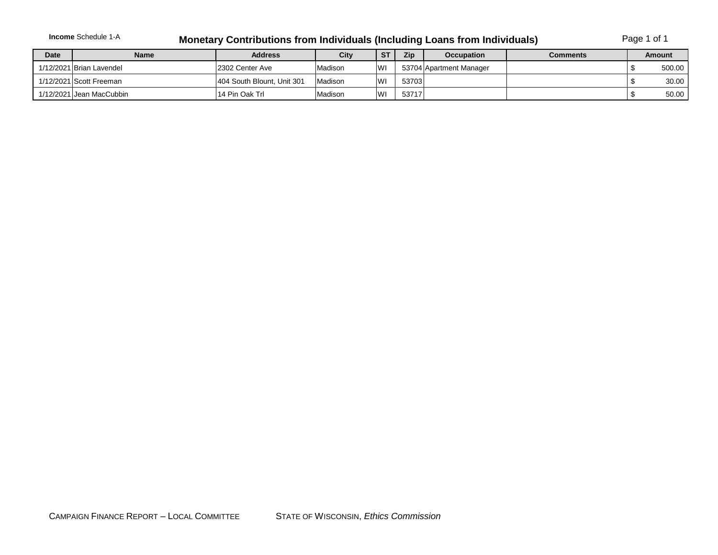## **Income** Schedule 1-A **Monetary Contributions from Individuals (Including Loans from Individuals)** Page 1 of 1

| <b>Date</b> | <b>Name</b>              | <b>Address</b>              | <b>City</b> | <b>ST</b> | <b>Zip</b> | <b>Occupation</b>       | <b>Comments</b> | Amount |
|-------------|--------------------------|-----------------------------|-------------|-----------|------------|-------------------------|-----------------|--------|
|             | 1/12/2021 Brian Lavendel | 12302 Center Ave            | Madison     | lwi       |            | 53704 Apartment Manager |                 | 500.00 |
|             | 1/12/2021 Scott Freeman  | 1404 South Blount, Unit 301 | Madison     | <b>WI</b> | 53703      |                         |                 | 30.00  |
|             | 1/12/2021 Jean MacCubbin | 14 Pin Oak Trl              | Madison     | W         | 53717      |                         |                 | 50.00  |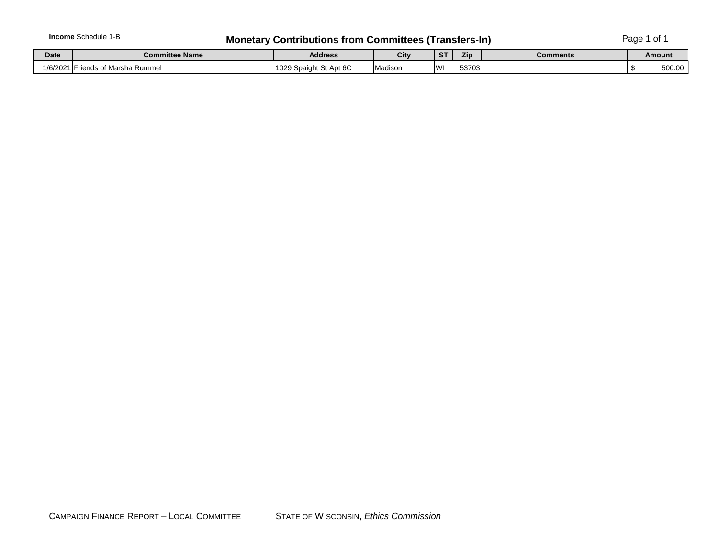## **Income** Schedule 1-B **Monetary Contributions from Committees (Transfers-In)** Page 1 of 1

| Date     | <b>Committee Name</b>            | <b>Address</b>                     | City    | -ST | Zip   | <b>Comments</b> | Amount |  |
|----------|----------------------------------|------------------------------------|---------|-----|-------|-----------------|--------|--|
| 1/6/2021 | <b>IFriends of Marsha Rummel</b> | Spaight St Apt 6C<br>10000<br>າບ∠ອ | Madison | W'  | 53703 |                 | 500.00 |  |